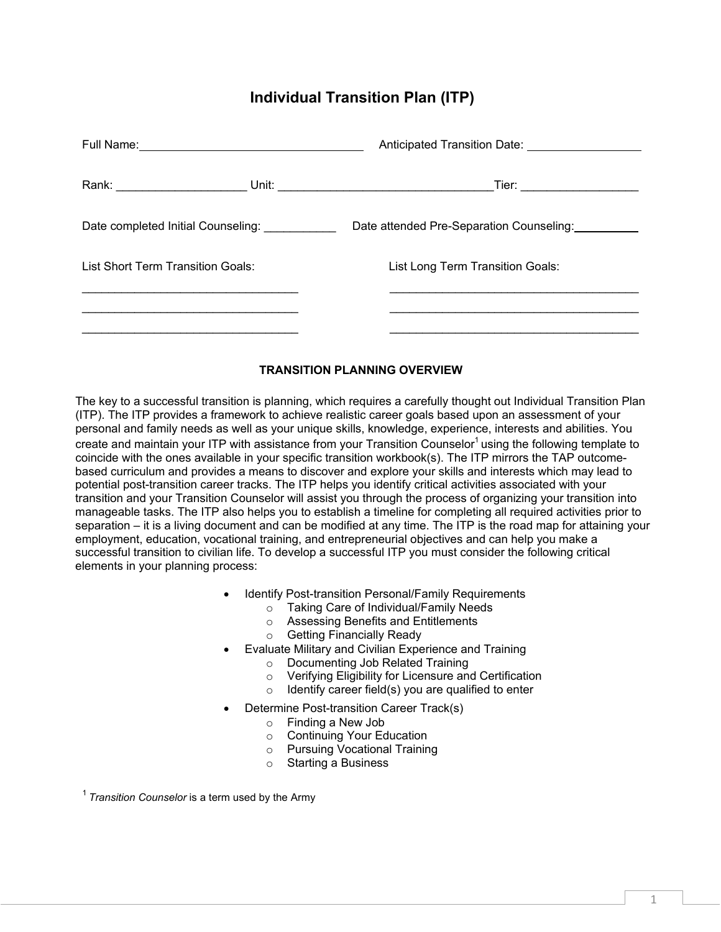# **Individual Transition Plan (ITP)**

| Date completed Initial Counseling: |  | Date attended Pre-Separation Counseling: |
|------------------------------------|--|------------------------------------------|
| List Short Term Transition Goals:  |  | List Long Term Transition Goals:         |
|                                    |  |                                          |
|                                    |  |                                          |

### **TRANSITION PLANNING OVERVIEW**

The key to a successful transition is planning, which requires a carefully thought out Individual Transition Plan (ITP). The ITP provides a framework to achieve realistic career goals based upon an assessment of your personal and family needs as well as your unique skills, knowledge, experience, interests and abilities. You create and maintain your ITP with assistance from your Transition Counselor<sup>1</sup> using the following template to coincide with the ones available in your specific transition workbook(s). The ITP mirrors the TAP outcomebased curriculum and provides a means to discover and explore your skills and interests which may lead to potential post-transition career tracks. The ITP helps you identify critical activities associated with your transition and your Transition Counselor will assist you through the process of organizing your transition into manageable tasks. The ITP also helps you to establish a timeline for completing all required activities prior to separation – it is a living document and can be modified at any time. The ITP is the road map for attaining your employment, education, vocational training, and entrepreneurial objectives and can help you make a successful transition to civilian life. To develop a successful ITP you must consider the following critical elements in your planning process:

- Identify Post-transition Personal/Family Requirements
	- o Taking Care of Individual/Family Needs
	- o Assessing Benefits and Entitlements
	- o Getting Financially Ready
- Evaluate Military and Civilian Experience and Training
	- o Documenting Job Related Training
	- $\circ$  Verifying Eligibility for Licensure and Certification<br>  $\circ$  Identify career field(s) you are qualified to enter
	- Identify career field(s) you are qualified to enter
- Determine Post-transition Career Track(s)
	- $\circ$  Finding a New Job<br>  $\circ$  Continuing Your Ed
	- Continuing Your Education<br>○ Pursuing Vocational Training
	- Pursuing Vocational Training<br>○ Starting a Business
	- **Starting a Business**

<span id="page-0-0"></span><sup>1</sup>*Transition Counselor* is a term used by the Army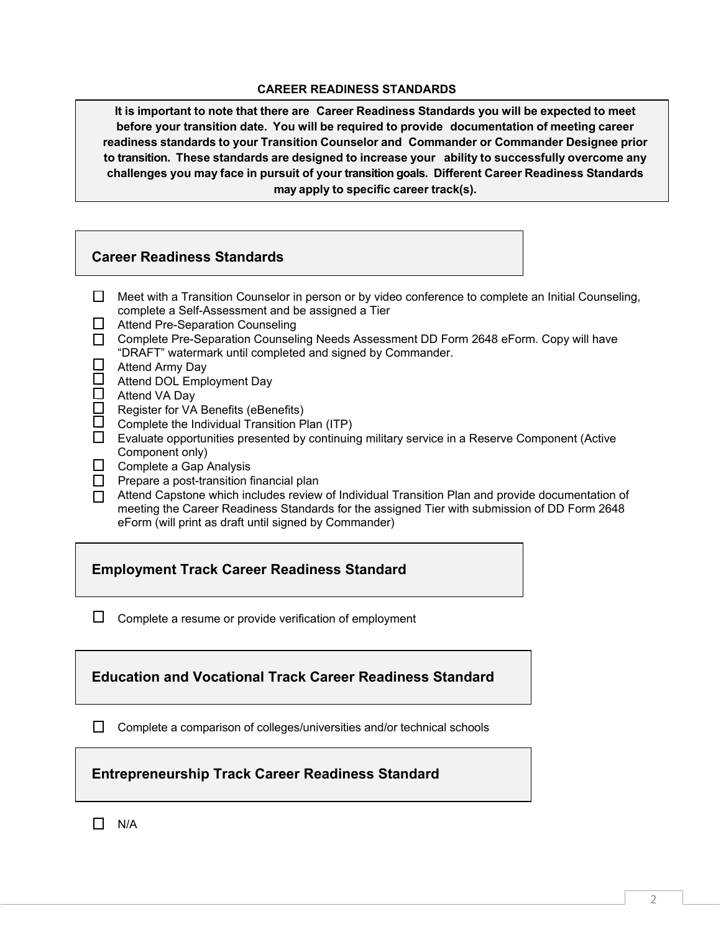#### **CAREER READINESS STANDARDS**

**It is important to note that there are Career Readiness Standards you will be expected to meet before your transition date. You will be required to provide documentation of meeting career readiness standards to your Transition Counselor and Commander or Commander Designee prior to transition. These standards are designed to increase your ability to successfully overcome any challenges you may face in pursuit of your transition goals. Different Career Readiness Standards may apply to specific career track(s).**

## **Career Readiness Standards**

- $\Box$  Meet with a Transition Counselor in person or by video conference to complete an Initial Counseling, complete a Self-Assessment and be assigned a Tier
- $\Box$  Attend Pre-Separation Counseling
- □ Complete Pre-Separation Counseling Needs Assessment DD Form 2648 eForm. Copy will have "DRAFT" watermark until completed and signed by Commander.
- □ Attend Army Day
- □<br>△ Attend DOL Employment Day<br>□ Attend VA Day
- 凵 Attend VA Day<br>囗 Register for VA
- Register for VA Benefits (eBenefits)
- $\Box$  Complete the Individual Transition Plan (ITP)
- $\Box$  Evaluate opportunities presented by continuing military service in a Reserve Component (Active Component only)
- $\Box$  Complete a Gap Analysis
- $\Box$  Prepare a post-transition financial plan
- Attend Capstone which includes review of Individual Transition Plan and provide documentation of meeting the Career Readiness Standards for the assigned Tier with submission of DD Form 2648 eForm (will print as draft until signed by Commander)

## **Employment Track Career Readiness Standard**

 $\Box$  Complete a resume or provide verification of employment

**Education and Vocational Track Career Readiness Standard**

 $\Box$  Complete a comparison of colleges/universities and/or technical schools

## **Entrepreneurship Track Career Readiness Standard**

 $\Box$  N/A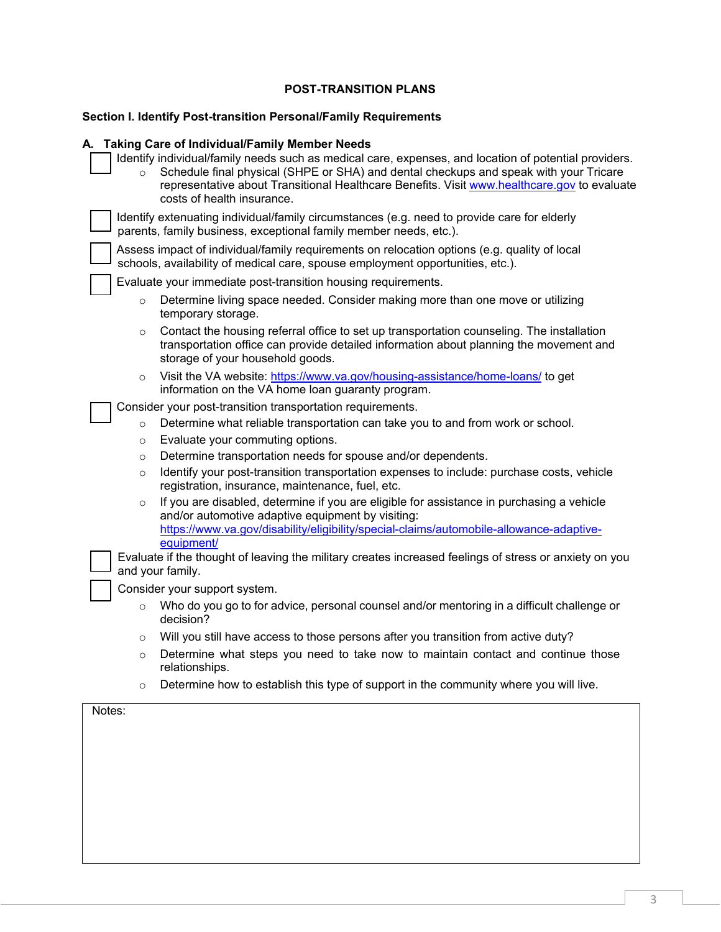## **POST-TRANSITION PLANS**

## **Section I. Identify Post-transition Personal/Family Requirements**

## **A. Taking Care of Individual/Family Member Needs**

| $\Omega$ | ranny Care of murviqual/Faring Member Needs<br>Identify individual/family needs such as medical care, expenses, and location of potential providers.<br>Schedule final physical (SHPE or SHA) and dental checkups and speak with your Tricare<br>representative about Transitional Healthcare Benefits. Visit www.healthcare.gov to evaluate<br>costs of health insurance. |
|----------|----------------------------------------------------------------------------------------------------------------------------------------------------------------------------------------------------------------------------------------------------------------------------------------------------------------------------------------------------------------------------|
|          | Identify extenuating individual/family circumstances (e.g. need to provide care for elderly<br>parents, family business, exceptional family member needs, etc.).                                                                                                                                                                                                           |
|          | Assess impact of individual/family requirements on relocation options (e.g. quality of local<br>schools, availability of medical care, spouse employment opportunities, etc.).                                                                                                                                                                                             |
|          | Evaluate your immediate post-transition housing requirements.                                                                                                                                                                                                                                                                                                              |
| $\circ$  | Determine living space needed. Consider making more than one move or utilizing<br>temporary storage.                                                                                                                                                                                                                                                                       |
| $\circ$  | Contact the housing referral office to set up transportation counseling. The installation<br>transportation office can provide detailed information about planning the movement and<br>storage of your household goods.                                                                                                                                                    |
| $\circ$  | Visit the VA website: https://www.va.gov/housing-assistance/home-loans/ to get<br>information on the VA home loan guaranty program.                                                                                                                                                                                                                                        |
|          | Consider your post-transition transportation requirements.                                                                                                                                                                                                                                                                                                                 |
| $\circ$  | Determine what reliable transportation can take you to and from work or school.                                                                                                                                                                                                                                                                                            |
| $\circ$  | Evaluate your commuting options.                                                                                                                                                                                                                                                                                                                                           |
| $\circ$  | Determine transportation needs for spouse and/or dependents.                                                                                                                                                                                                                                                                                                               |
| $\circ$  | Identify your post-transition transportation expenses to include: purchase costs, vehicle<br>registration, insurance, maintenance, fuel, etc.                                                                                                                                                                                                                              |
| $\circ$  | If you are disabled, determine if you are eligible for assistance in purchasing a vehicle<br>and/or automotive adaptive equipment by visiting:<br>https://www.va.gov/disability/eligibility/special-claims/automobile-allowance-adaptive-<br>equipment/                                                                                                                    |
|          | Evaluate if the thought of leaving the military creates increased feelings of stress or anxiety on you<br>and your family.                                                                                                                                                                                                                                                 |
|          | Consider your support system.                                                                                                                                                                                                                                                                                                                                              |
| $\circ$  | Who do you go to for advice, personal counsel and/or mentoring in a difficult challenge or<br>decision?                                                                                                                                                                                                                                                                    |
| $\circ$  | Will you still have access to those persons after you transition from active duty?                                                                                                                                                                                                                                                                                         |
| $\circ$  | Determine what steps you need to take now to maintain contact and continue those<br>relationships.                                                                                                                                                                                                                                                                         |
| $\circ$  | Determine how to establish this type of support in the community where you will live.                                                                                                                                                                                                                                                                                      |
| Notes:   |                                                                                                                                                                                                                                                                                                                                                                            |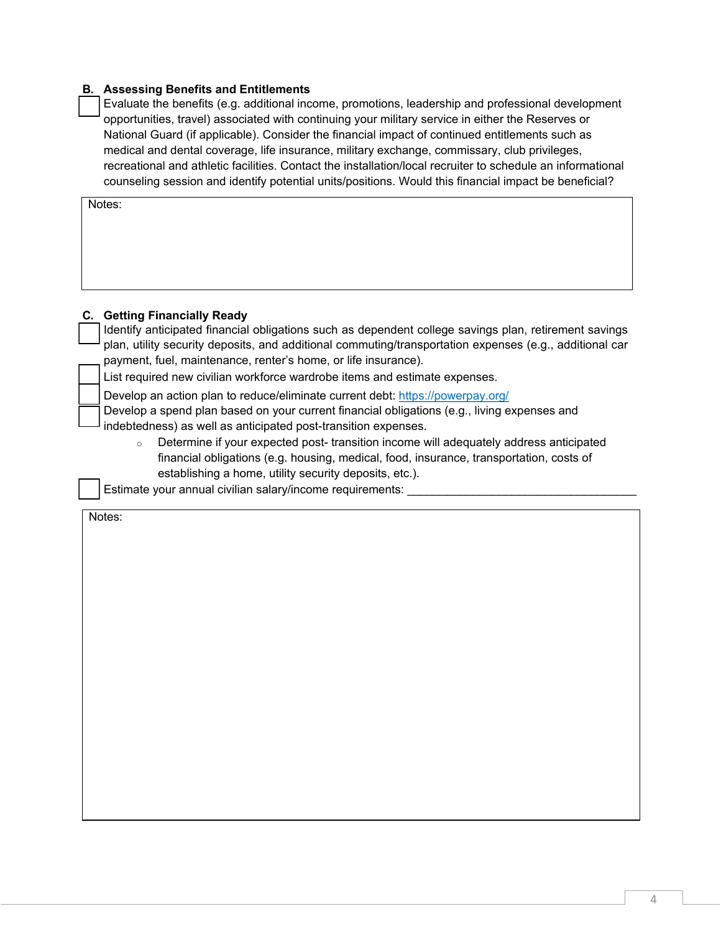#### **B. Assessing Benefits and Entitlements**

 Evaluate the benefits (e.g. additional income, promotions, leadership and professional development opportunities, travel) associated with continuing your military service in either the Reserves or National Guard (if applicable). Consider the financial impact of continued entitlements such as medical and dental coverage, life insurance, military exchange, commissary, club privileges, recreational and athletic facilities. Contact the installation/local recruiter to schedule an informational counseling session and identify potential units/positions. Would this financial impact be beneficial?

Notes:

#### **C. Getting Financially Ready**

 Identify anticipated financial obligations such as dependent college savings plan, retirement savings plan, utility security deposits, and additional commuting/transportation expenses (e.g., additional car payment, fuel, maintenance, renter's home, or life insurance).

List required new civilian workforce wardrobe items and estimate expenses.

Develop an action plan to reduce/eliminate current debt:<https://powerpay.org/>

 Develop a spend plan based on your current financial obligations (e.g., living expenses and indebtedness) as well as anticipated post-transition expenses.

o Determine if your expected post- transition income will adequately address anticipated financial obligations (e.g. housing, medical, food, insurance, transportation, costs of establishing a home, utility security deposits, etc.).

Estimate your annual civilian salary/income requirements: \_\_\_\_\_\_\_\_\_\_\_\_\_\_\_\_\_\_\_\_\_\_

Notes: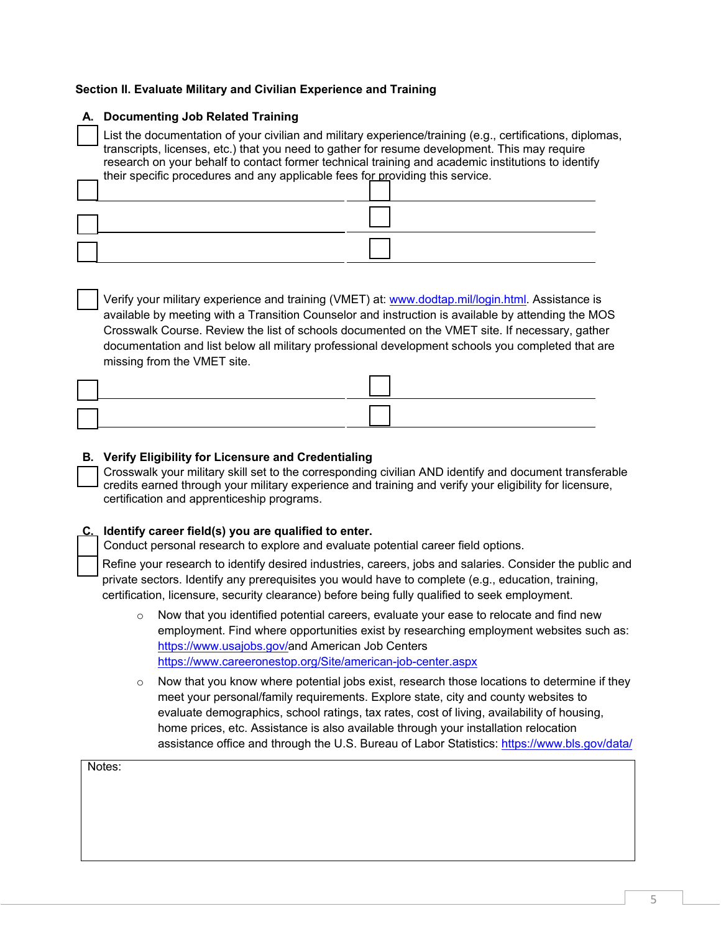## **Section II. Evaluate Military and Civilian Experience and Training**

| A. Documenting Job Related Training                                                                                                                                                                                                                                                                                                                                                               |
|---------------------------------------------------------------------------------------------------------------------------------------------------------------------------------------------------------------------------------------------------------------------------------------------------------------------------------------------------------------------------------------------------|
| List the documentation of your civilian and military experience/training (e.g., certifications, diplomas,<br>transcripts, licenses, etc.) that you need to gather for resume development. This may require<br>research on your behalf to contact former technical training and academic institutions to identify<br>their specific procedures and any applicable fees for providing this service. |
|                                                                                                                                                                                                                                                                                                                                                                                                   |
|                                                                                                                                                                                                                                                                                                                                                                                                   |
|                                                                                                                                                                                                                                                                                                                                                                                                   |

 Verify your military experience and training (VMET) at: www.dodtap.mil/login.html. Assistance is available by meeting with a Transition Counselor and instruction is available by attending the MOS Crosswalk Course. Review the list of schools documented on the VMET site. If necessary, gather documentation and list below all military professional development schools you completed that are missing from the VMET site.

### **B. Verify Eligibility for Licensure and Credentialing**

 Crosswalk your military skill set to the corresponding civilian AND identify and document transferable credits earned through your military experience and training and verify your eligibility for licensure, certification and apprenticeship programs.

### **C. Identify career field(s) you are qualified to enter.**

Conduct personal research to explore and evaluate potential career field options.

 Refine your research to identify desired industries, careers, jobs and salaries. Consider the public and private sectors. Identify any prerequisites you would have to complete (e.g., education, training, certification, licensure, security clearance) before being fully qualified to seek employment.

- $\circ$  Now that you identified potential careers, evaluate your ease to relocate and find new employment. Find where opportunities exist by researching employment websites such as: [https://www.usajobs.gov/a](https://www.usajobs.gov/)nd American Job Centers <https://www.careeronestop.org/Site/american-job-center.aspx>
- $\circ$  Now that you know where potential jobs exist, research those locations to determine if they meet your personal/family requirements. Explore state, city and county websites to evaluate demographics, school ratings, tax rates, cost of living, availability of housing, home prices, etc. Assistance is also available through your installation relocation assistance office and through the U.S. Bureau of Labor Statistics:<https://www.bls.gov/data/>

|        | $\tilde{\phantom{a}}$ |  |
|--------|-----------------------|--|
| Notes: |                       |  |
|        |                       |  |
|        |                       |  |
|        |                       |  |
|        |                       |  |
|        |                       |  |
|        |                       |  |
|        |                       |  |
|        |                       |  |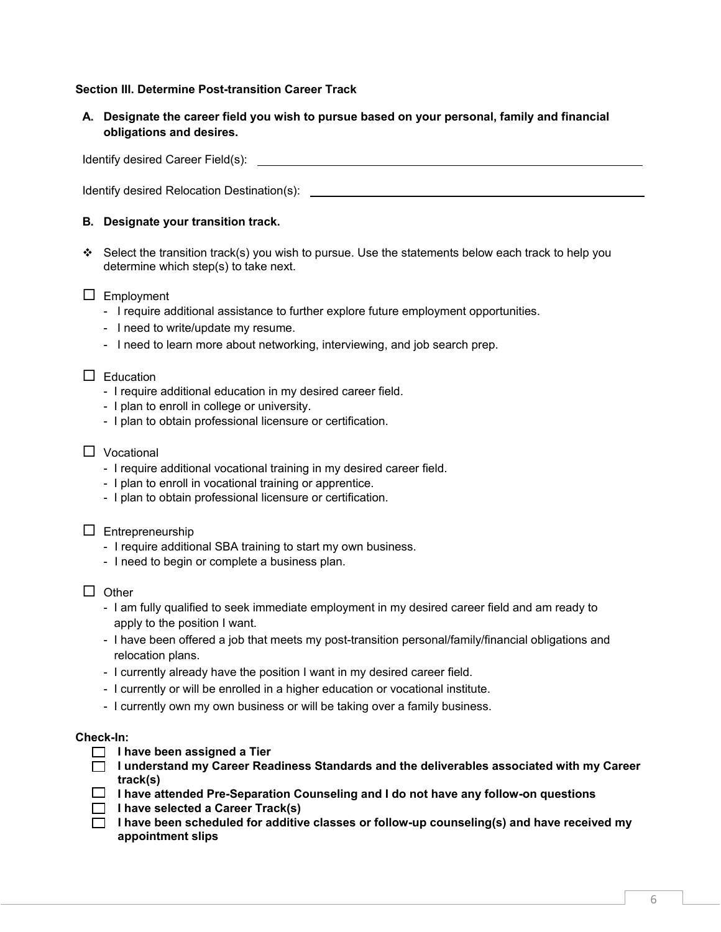### **Section III. Determine Post-transition Career Track**

**A. Designate the career field you wish to pursue based on your personal, family and financial obligations and desires.**

Identify desired Career Field(s):

Identify desired Relocation Destination(s):

## **B. Designate your transition track.**

Select the transition track(s) you wish to pursue. Use the statements below each track to help you determine which step(s) to take next.

### $\Box$  Employment

- I require additional assistance to further explore future employment opportunities.
- I need to write/update my resume.
- I need to learn more about networking, interviewing, and job search prep.

#### $\Box$  Education

- I require additional education in my desired career field.
- I plan to enroll in college or university.
- I plan to obtain professional licensure or certification.

### □ Vocational

- I require additional vocational training in my desired career field.
- I plan to enroll in vocational training or apprentice.
- I plan to obtain professional licensure or certification.

### $\Box$  Entrepreneurship

- I require additional SBA training to start my own business.
- I need to begin or complete a business plan.
- $\Box$  Other
	- I am fully qualified to seek immediate employment in my desired career field and am ready to apply to the position I want.
	- I have been offered a job that meets my post-transition personal/family/financial obligations and relocation plans.
	- I currently already have the position I want in my desired career field.
	- I currently or will be enrolled in a higher education or vocational institute.
	- I currently own my own business or will be taking over a family business.

#### **Check-In:**

- **I** l have been assigned a Tier
- **I understand my Career Readiness Standards and the deliverables associated with my Career track(s)**
- **I have attended Pre-Separation Counseling and I do not have any follow-on questions**
- **I have selected a Career Track(s)**
- **I have been scheduled for additive classes or follow-up counseling(s) and have received my appointment slips**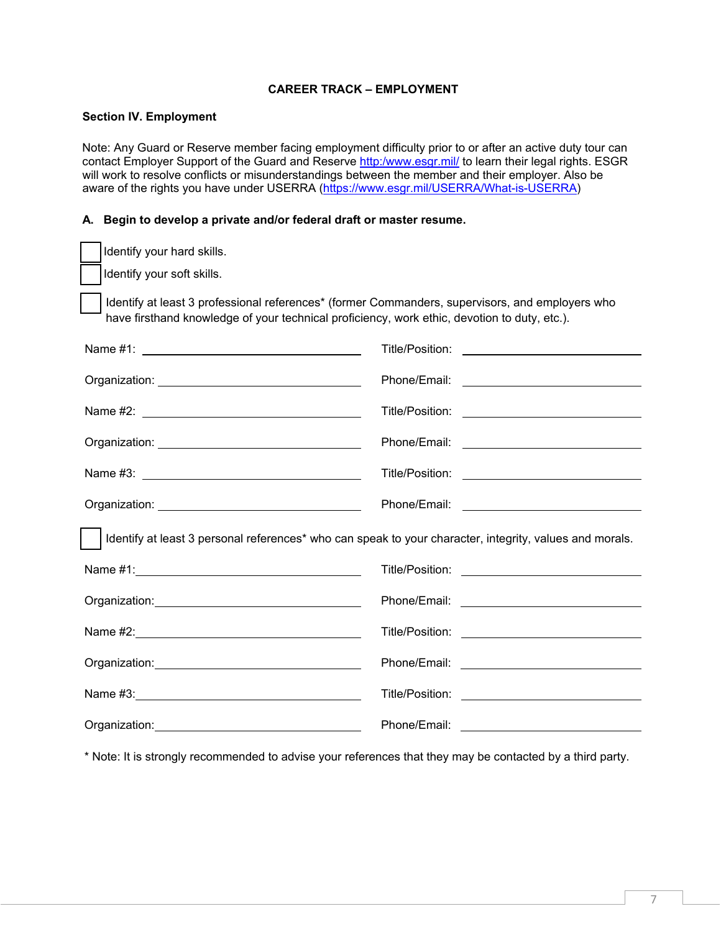#### **CAREER TRACK – EMPLOYMENT**

#### **Section IV. Employment**

Note: Any Guard or Reserve member facing employment difficulty prior to or after an active duty tour can contact Employer Support of the Guard and Reserve [http:/www.esgr.mil/](http://www.esgr.mil/) to learn their legal rights. ESGR will work to resolve conflicts or misunderstandings between the member and their employer. Also be aware of the rights you have under USERRA [\(https://www.esgr.mil/USERRA/What-is-USERRA\)](https://www.esgr.mil/USERRA/What-is-USERRA)

#### **A. Begin to develop a private and/or federal draft or master resume.**

| Identify your hard skills.                                                                                                                                                                                                     |  |
|--------------------------------------------------------------------------------------------------------------------------------------------------------------------------------------------------------------------------------|--|
| Identify your soft skills.                                                                                                                                                                                                     |  |
| Identify at least 3 professional references <sup>*</sup> (former Commanders, supervisors, and employers who<br>have firsthand knowledge of your technical proficiency, work ethic, devotion to duty, etc.).                    |  |
|                                                                                                                                                                                                                                |  |
| Organization: New York Changes and Changes and Changes and Changes and Changes and Changes and Changes and Changes and Changes and Changes and Changes and Changes and Changes and Changes and Changes and Changes and Changes |  |
|                                                                                                                                                                                                                                |  |
|                                                                                                                                                                                                                                |  |
|                                                                                                                                                                                                                                |  |
|                                                                                                                                                                                                                                |  |
| Identify at least 3 personal references* who can speak to your character, integrity, values and morals.                                                                                                                        |  |
|                                                                                                                                                                                                                                |  |
|                                                                                                                                                                                                                                |  |
|                                                                                                                                                                                                                                |  |
|                                                                                                                                                                                                                                |  |
|                                                                                                                                                                                                                                |  |
|                                                                                                                                                                                                                                |  |

\* Note: It is strongly recommended to advise your references that they may be contacted by a third party.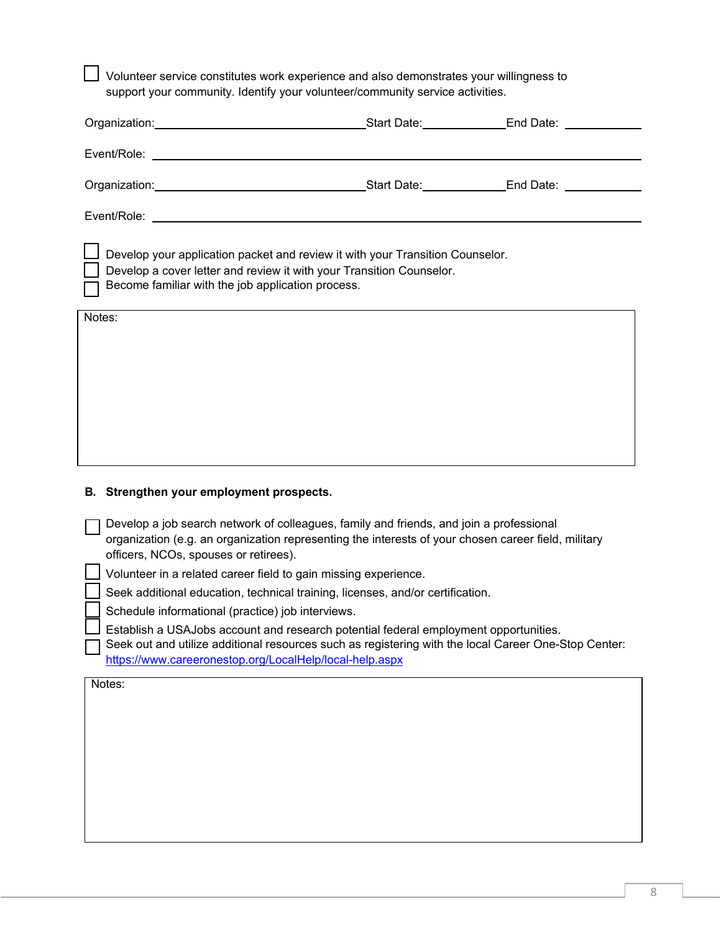Volunteer service constitutes work experience and also demonstrates your willingness to support your community. Identify your volunteer/community service activities.

| Organization: Change and Changes and Changes and Changes and Changes and Changes and Changes and Changes and C                                                                                                                 | Start Date: End Date: |
|--------------------------------------------------------------------------------------------------------------------------------------------------------------------------------------------------------------------------------|-----------------------|
| Event/Role:                                                                                                                                                                                                                    |                       |
| Organization: with the contract of the contract of the contract of the contract of the contract of the contract of the contract of the contract of the contract of the contract of the contract of the contract of the contrac | Start Date: End Date: |
| Event/Role:                                                                                                                                                                                                                    |                       |
| □ Develop your application packet and review it with your Transition Counselor.<br>    Develop a cover letter and review it with your Transition Counselor.<br>Become familiar with the job application process.<br>I.         |                       |
| Notes:                                                                                                                                                                                                                         |                       |

## **B. Strengthen your employment prospects.**

 Develop a job search network of colleagues, family and friends, and join a professional organization (e.g. an organization representing the interests of your chosen career field, military officers, NCOs, spouses or retirees).

Volunteer in a related career field to gain missing experience.

Seek additional education, technical training, licenses, and/or certification.

Schedule informational (practice) job interviews.

 Establish a USAJobs account and research potential federal employment opportunities. Seek out and utilize additional resources such as registering with the local Career One-Stop Center: <https://www.careeronestop.org/LocalHelp/local-help.aspx>

Notes: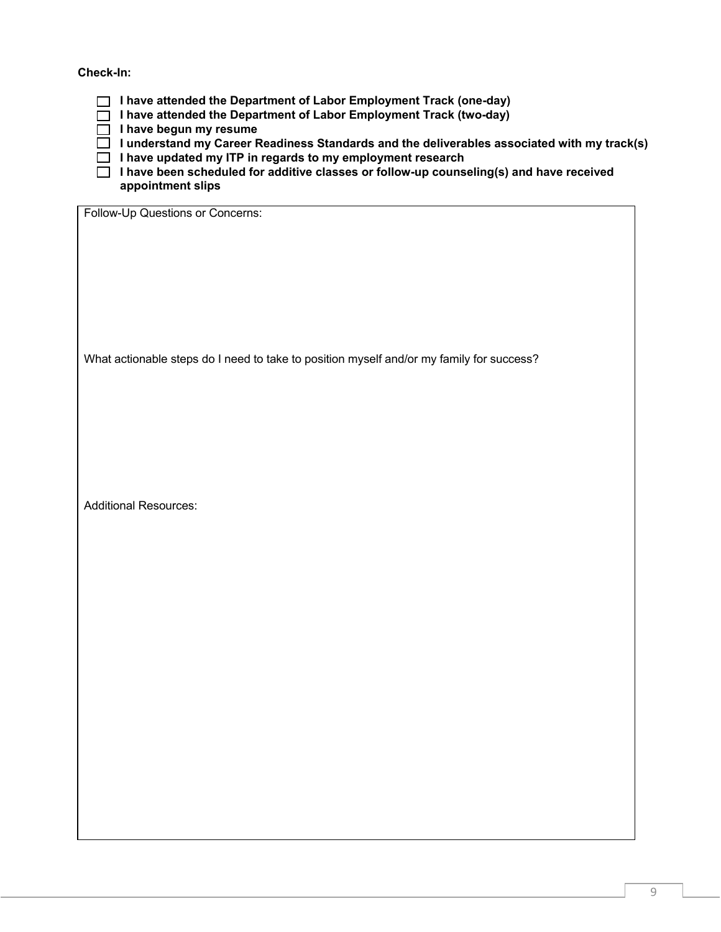**Check-In:**

**I have attended the Department of Labor Employment Track (one-day)**

**I have attended the Department of Labor Employment Track (two-day)**

**I** I have begun my resume

- **I understand my Career Readiness Standards and the deliverables associated with my track(s)**
- **I have updated my ITP in regards to my employment research**

 **I have been scheduled for additive classes or follow-up counseling(s) and have received appointment slips**

Follow-Up Questions or Concerns:

What actionable steps do I need to take to position myself and/or my family for success?

Additional Resources: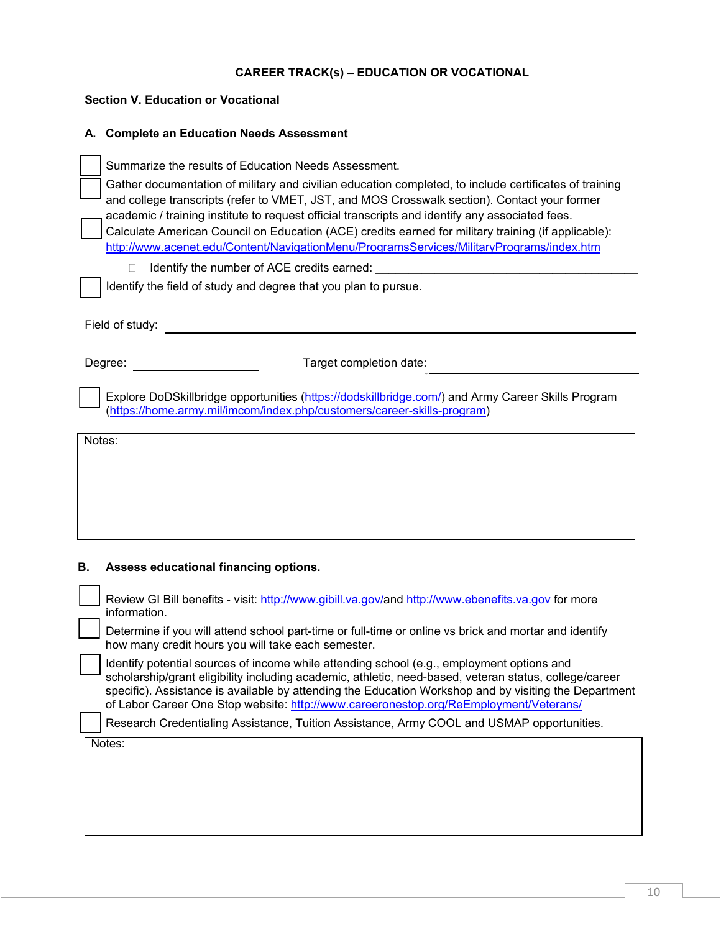## **CAREER TRACK(s) – EDUCATION OR VOCATIONAL**

| <b>Section V. Education or Vocational</b>                                                                                                                                                                                                                                                                                                                                                                                                                                                                                                                                                                                                                                                   |
|---------------------------------------------------------------------------------------------------------------------------------------------------------------------------------------------------------------------------------------------------------------------------------------------------------------------------------------------------------------------------------------------------------------------------------------------------------------------------------------------------------------------------------------------------------------------------------------------------------------------------------------------------------------------------------------------|
| A. Complete an Education Needs Assessment                                                                                                                                                                                                                                                                                                                                                                                                                                                                                                                                                                                                                                                   |
| Summarize the results of Education Needs Assessment.<br>Gather documentation of military and civilian education completed, to include certificates of training<br>and college transcripts (refer to VMET, JST, and MOS Crosswalk section). Contact your former<br>academic / training institute to request official transcripts and identify any associated fees.<br>Calculate American Council on Education (ACE) credits earned for military training (if applicable):<br>http://www.acenet.edu/Content/NavigationMenu/ProgramsServices/MilitaryPrograms/index.htm<br>Identify the number of ACE credits earned:<br>П.<br>Identify the field of study and degree that you plan to pursue. |
| Field of study:<br><u>and the state of the state of the state of the state of the state of the state of the state of the state of the state of the state of the state of the state of the state of the state of the state of the state of the state</u>                                                                                                                                                                                                                                                                                                                                                                                                                                     |
| Target completion date:<br>Degree:                                                                                                                                                                                                                                                                                                                                                                                                                                                                                                                                                                                                                                                          |
| Explore DoDSkillbridge opportunities (https://dodskillbridge.com/) and Army Career Skills Program<br>(https://home.army.mil/imcom/index.php/customers/career-skills-program)                                                                                                                                                                                                                                                                                                                                                                                                                                                                                                                |
| Notes:                                                                                                                                                                                                                                                                                                                                                                                                                                                                                                                                                                                                                                                                                      |
| В.<br>Assess educational financing options.                                                                                                                                                                                                                                                                                                                                                                                                                                                                                                                                                                                                                                                 |
| Review GI Bill benefits - visit: http://www.gibill.va.gov/and http://www.ebenefits.va.gov for more<br>information.<br>Determine if you will attend school part-time or full-time or online vs brick and mortar and identify                                                                                                                                                                                                                                                                                                                                                                                                                                                                 |
| how many credit hours you will take each semester.<br>Identify potential sources of income while attending school (e.g., employment options and<br>scholarship/grant eligibility including academic, athletic, need-based, veteran status, college/career<br>specific). Assistance is available by attending the Education Workshop and by visiting the Department<br>of Labor Career One Stop website: http://www.careeronestop.org/ReEmployment/Veterans/                                                                                                                                                                                                                                 |
| Research Credentialing Assistance, Tuition Assistance, Army COOL and USMAP opportunities.                                                                                                                                                                                                                                                                                                                                                                                                                                                                                                                                                                                                   |
| Notes:                                                                                                                                                                                                                                                                                                                                                                                                                                                                                                                                                                                                                                                                                      |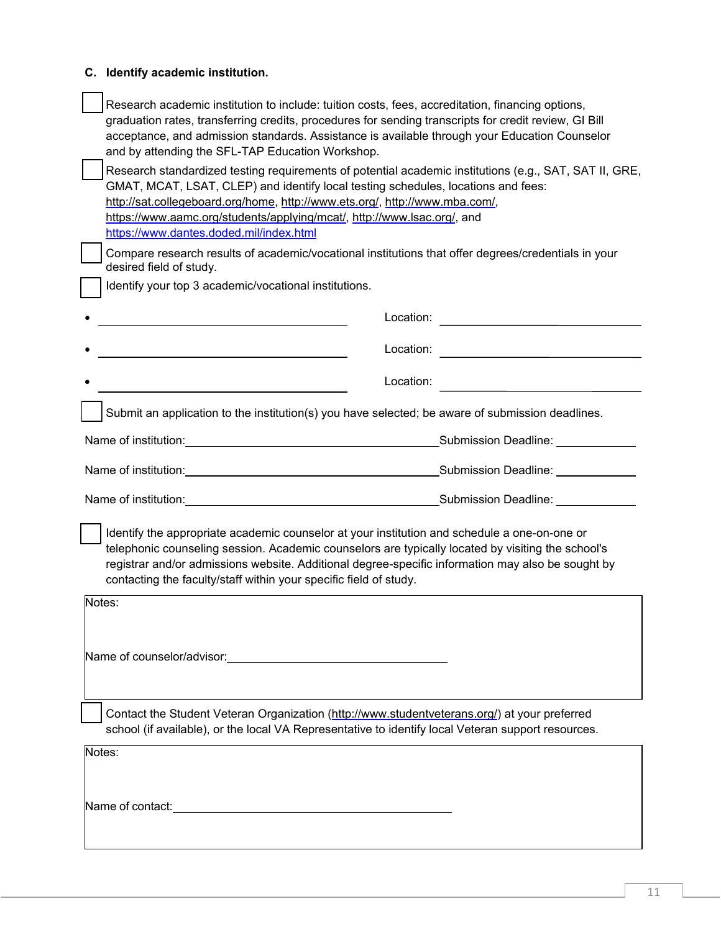| C. Identify academic institution.                                                                                                                                                                                                                                                                                                                                                                |
|--------------------------------------------------------------------------------------------------------------------------------------------------------------------------------------------------------------------------------------------------------------------------------------------------------------------------------------------------------------------------------------------------|
| Research academic institution to include: tuition costs, fees, accreditation, financing options,<br>graduation rates, transferring credits, procedures for sending transcripts for credit review, GI Bill<br>acceptance, and admission standards. Assistance is available through your Education Counselor<br>and by attending the SFL-TAP Education Workshop.                                   |
| Research standardized testing requirements of potential academic institutions (e.g., SAT, SAT II, GRE,<br>GMAT, MCAT, LSAT, CLEP) and identify local testing schedules, locations and fees:<br>http://sat.collegeboard.org/home, http://www.ets.org/, http://www.mba.com/,<br>https://www.aamc.org/students/applying/mcat/, http://www.lsac.org/, and<br>https://www.dantes.doded.mil/index.html |
| Compare research results of academic/vocational institutions that offer degrees/credentials in your<br>desired field of study.                                                                                                                                                                                                                                                                   |
| Identify your top 3 academic/vocational institutions.                                                                                                                                                                                                                                                                                                                                            |
| Location:                                                                                                                                                                                                                                                                                                                                                                                        |
| the control of the control of the control of the control of the control of the control of                                                                                                                                                                                                                                                                                                        |
| Location:                                                                                                                                                                                                                                                                                                                                                                                        |
| Submit an application to the institution(s) you have selected; be aware of submission deadlines.                                                                                                                                                                                                                                                                                                 |
|                                                                                                                                                                                                                                                                                                                                                                                                  |
|                                                                                                                                                                                                                                                                                                                                                                                                  |
|                                                                                                                                                                                                                                                                                                                                                                                                  |
| Identify the appropriate academic counselor at your institution and schedule a one-on-one or<br>telephonic counseling session. Academic counselors are typically located by visiting the school's<br>registrar and/or admissions website. Additional degree-specific information may also be sought by<br>contacting the faculty/staff within your specific field of study.                      |
| Notes:                                                                                                                                                                                                                                                                                                                                                                                           |
| Name of counselor/advisor: Name of counselor/advisor:                                                                                                                                                                                                                                                                                                                                            |
| Contact the Student Veteran Organization (http://www.studentveterans.org/) at your preferred<br>school (if available), or the local VA Representative to identify local Veteran support resources.                                                                                                                                                                                               |
| Notes:                                                                                                                                                                                                                                                                                                                                                                                           |
|                                                                                                                                                                                                                                                                                                                                                                                                  |
| Name of contact: <u>contact:</u> when the set of contact in the set of contact:                                                                                                                                                                                                                                                                                                                  |
|                                                                                                                                                                                                                                                                                                                                                                                                  |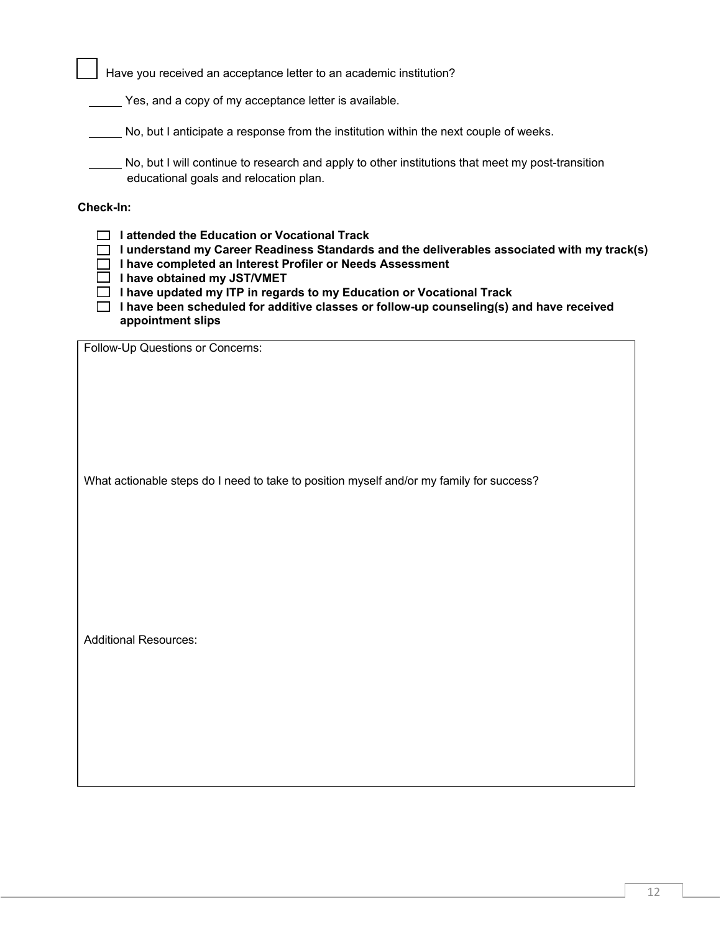Have you received an acceptance letter to an academic institution?

Yes, and a copy of my acceptance letter is available.

No, but I anticipate a response from the institution within the next couple of weeks.

No, but I will continue to research and apply to other institutions that meet my post-transition educational goals and relocation plan.

**Check-In:**

 **I attended the Education or Vocational Track I understand my Career Readiness Standards and the deliverables associated with my track(s) I have completed an Interest Profiler or Needs Assessment I have obtained my JST/VMET** 

**I have updated my ITP in regards to my Education or Vocational Track**

 **I have been scheduled for additive classes or follow-up counseling(s) and have received appointment slips**

Follow-Up Questions or Concerns:

What actionable steps do I need to take to position myself and/or my family for success?

Additional Resources: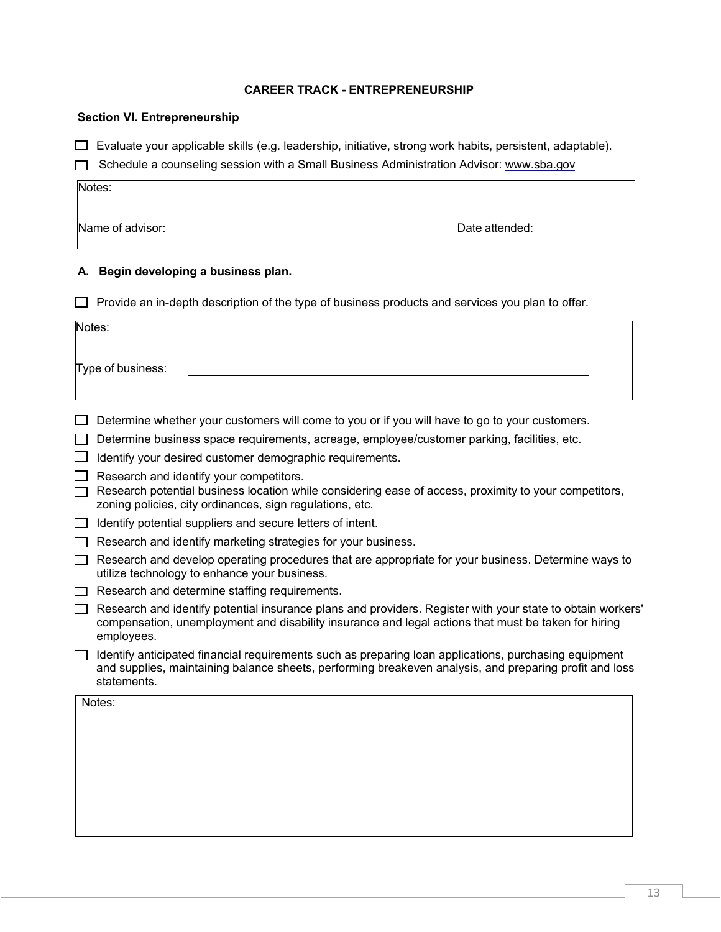#### **CAREER TRACK - ENTREPRENEURSHIP**

#### **Section VI. Entrepreneurship**

 $\Box$  Evaluate your applicable skills (e.g. leadership, initiative, strong work habits, persistent, adaptable).

Schedule a counseling session with a Small Business Administration Advisor: [www.sba.gov](http://www.sba.gov/)

Name of advisor: <u>Date attended:</u> Date attended:

Notes:

## **A. Begin developing a business plan.**

 $\Box$  Provide an in-depth description of the type of business products and services you plan to offer.

| Notes: |                                                                                                                                                                                                                                 |  |
|--------|---------------------------------------------------------------------------------------------------------------------------------------------------------------------------------------------------------------------------------|--|
|        | Type of business:                                                                                                                                                                                                               |  |
|        | Determine whether your customers will come to you or if you will have to go to your customers.                                                                                                                                  |  |
|        | Determine business space requirements, acreage, employee/customer parking, facilities, etc.                                                                                                                                     |  |
|        | Identify your desired customer demographic requirements.                                                                                                                                                                        |  |
|        | Research and identify your competitors.<br>Research potential business location while considering ease of access, proximity to your competitors,<br>zoning policies, city ordinances, sign regulations, etc.                    |  |
|        | Identify potential suppliers and secure letters of intent.                                                                                                                                                                      |  |
|        | Research and identify marketing strategies for your business.                                                                                                                                                                   |  |
|        | Research and develop operating procedures that are appropriate for your business. Determine ways to<br>utilize technology to enhance your business.                                                                             |  |
|        | Research and determine staffing requirements.                                                                                                                                                                                   |  |
|        | Research and identify potential insurance plans and providers. Register with your state to obtain workers'<br>compensation, unemployment and disability insurance and legal actions that must be taken for hiring<br>employees. |  |
|        | Identify anticipated financial requirements such as preparing loan applications, purchasing equipment<br>and supplies, maintaining balance sheets, performing breakeven analysis, and preparing profit and loss<br>statements.  |  |
|        | Notes:                                                                                                                                                                                                                          |  |
|        |                                                                                                                                                                                                                                 |  |
|        |                                                                                                                                                                                                                                 |  |
|        |                                                                                                                                                                                                                                 |  |
|        |                                                                                                                                                                                                                                 |  |
|        |                                                                                                                                                                                                                                 |  |
|        |                                                                                                                                                                                                                                 |  |